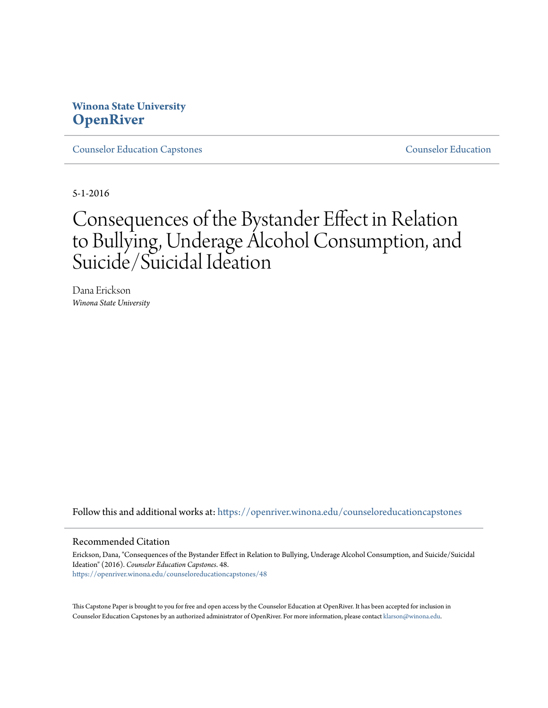# **Winona State University [OpenRiver](https://openriver.winona.edu?utm_source=openriver.winona.edu%2Fcounseloreducationcapstones%2F48&utm_medium=PDF&utm_campaign=PDFCoverPages)**

[Counselor Education Capstones](https://openriver.winona.edu/counseloreducationcapstones?utm_source=openriver.winona.edu%2Fcounseloreducationcapstones%2F48&utm_medium=PDF&utm_campaign=PDFCoverPages) [Counselor Education](https://openriver.winona.edu/counseloreducation?utm_source=openriver.winona.edu%2Fcounseloreducationcapstones%2F48&utm_medium=PDF&utm_campaign=PDFCoverPages)

5-1-2016

# Consequences of the Bystander Effect in Relation to Bullying, Underage Alcohol Consumption, and Suicide/Suicidal Ideation

Dana Erickson *Winona State University*

Follow this and additional works at: [https://openriver.winona.edu/counseloreducationcapstones](https://openriver.winona.edu/counseloreducationcapstones?utm_source=openriver.winona.edu%2Fcounseloreducationcapstones%2F48&utm_medium=PDF&utm_campaign=PDFCoverPages)

#### Recommended Citation

Erickson, Dana, "Consequences of the Bystander Effect in Relation to Bullying, Underage Alcohol Consumption, and Suicide/Suicidal Ideation" (2016). *Counselor Education Capstones*. 48. [https://openriver.winona.edu/counseloreducationcapstones/48](https://openriver.winona.edu/counseloreducationcapstones/48?utm_source=openriver.winona.edu%2Fcounseloreducationcapstones%2F48&utm_medium=PDF&utm_campaign=PDFCoverPages)

This Capstone Paper is brought to you for free and open access by the Counselor Education at OpenRiver. It has been accepted for inclusion in Counselor Education Capstones by an authorized administrator of OpenRiver. For more information, please contact [klarson@winona.edu](mailto:klarson@winona.edu).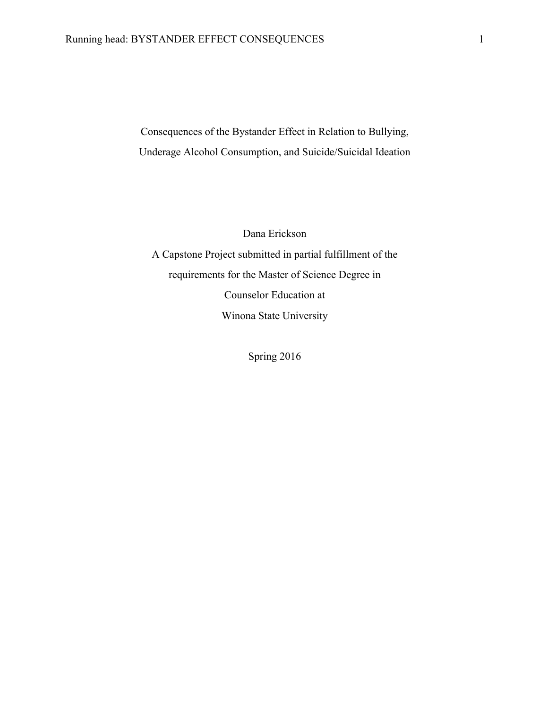Consequences of the Bystander Effect in Relation to Bullying, Underage Alcohol Consumption, and Suicide/Suicidal Ideation

Dana Erickson

A Capstone Project submitted in partial fulfillment of the requirements for the Master of Science Degree in Counselor Education at Winona State University

Spring 2016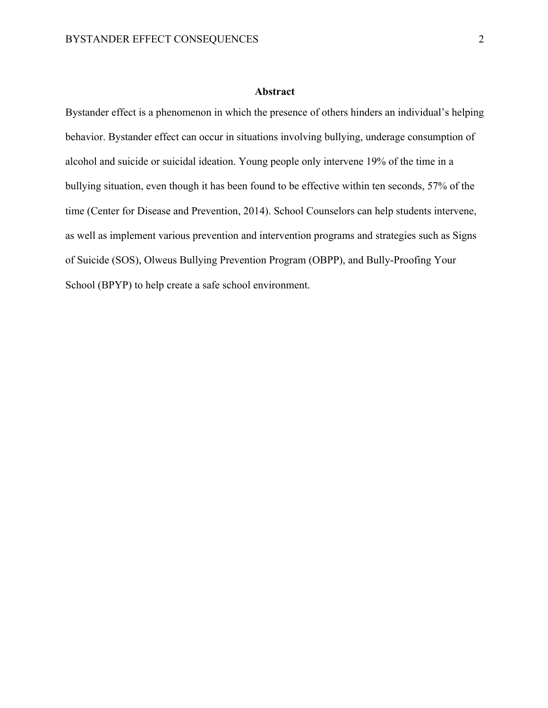#### **Abstract**

Bystander effect is a phenomenon in which the presence of others hinders an individual's helping behavior. Bystander effect can occur in situations involving bullying, underage consumption of alcohol and suicide or suicidal ideation. Young people only intervene 19% of the time in a bullying situation, even though it has been found to be effective within ten seconds, 57% of the time (Center for Disease and Prevention, 2014). School Counselors can help students intervene, as well as implement various prevention and intervention programs and strategies such as Signs of Suicide (SOS), Olweus Bullying Prevention Program (OBPP), and Bully-Proofing Your School (BPYP) to help create a safe school environment.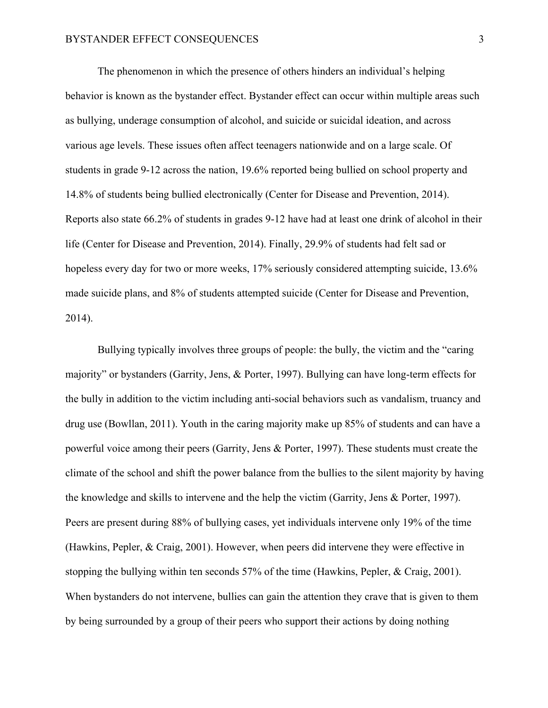The phenomenon in which the presence of others hinders an individual's helping behavior is known as the bystander effect. Bystander effect can occur within multiple areas such as bullying, underage consumption of alcohol, and suicide or suicidal ideation, and across various age levels. These issues often affect teenagers nationwide and on a large scale. Of students in grade 9-12 across the nation, 19.6% reported being bullied on school property and 14.8% of students being bullied electronically (Center for Disease and Prevention, 2014). Reports also state 66.2% of students in grades 9-12 have had at least one drink of alcohol in their life (Center for Disease and Prevention, 2014). Finally, 29.9% of students had felt sad or hopeless every day for two or more weeks, 17% seriously considered attempting suicide, 13.6% made suicide plans, and 8% of students attempted suicide (Center for Disease and Prevention, 2014).

Bullying typically involves three groups of people: the bully, the victim and the "caring majority" or bystanders (Garrity, Jens, & Porter, 1997). Bullying can have long-term effects for the bully in addition to the victim including anti-social behaviors such as vandalism, truancy and drug use (Bowllan, 2011). Youth in the caring majority make up 85% of students and can have a powerful voice among their peers (Garrity, Jens & Porter, 1997). These students must create the climate of the school and shift the power balance from the bullies to the silent majority by having the knowledge and skills to intervene and the help the victim (Garrity, Jens & Porter, 1997). Peers are present during 88% of bullying cases, yet individuals intervene only 19% of the time (Hawkins, Pepler, & Craig, 2001). However, when peers did intervene they were effective in stopping the bullying within ten seconds 57% of the time (Hawkins, Pepler, & Craig, 2001). When bystanders do not intervene, bullies can gain the attention they crave that is given to them by being surrounded by a group of their peers who support their actions by doing nothing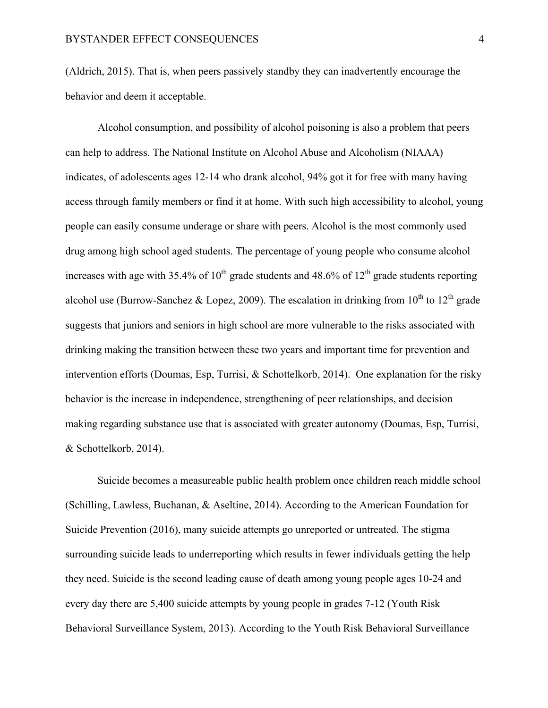(Aldrich, 2015). That is, when peers passively standby they can inadvertently encourage the behavior and deem it acceptable.

Alcohol consumption, and possibility of alcohol poisoning is also a problem that peers can help to address. The National Institute on Alcohol Abuse and Alcoholism (NIAAA) indicates, of adolescents ages 12-14 who drank alcohol, 94% got it for free with many having access through family members or find it at home. With such high accessibility to alcohol, young people can easily consume underage or share with peers. Alcohol is the most commonly used drug among high school aged students. The percentage of young people who consume alcohol increases with age with 35.4% of  $10^{th}$  grade students and 48.6% of  $12^{th}$  grade students reporting alcohol use (Burrow-Sanchez & Lopez, 2009). The escalation in drinking from  $10^{th}$  to  $12^{th}$  grade suggests that juniors and seniors in high school are more vulnerable to the risks associated with drinking making the transition between these two years and important time for prevention and intervention efforts (Doumas, Esp, Turrisi, & Schottelkorb, 2014). One explanation for the risky behavior is the increase in independence, strengthening of peer relationships, and decision making regarding substance use that is associated with greater autonomy (Doumas, Esp, Turrisi, & Schottelkorb, 2014).

Suicide becomes a measureable public health problem once children reach middle school (Schilling, Lawless, Buchanan, & Aseltine, 2014). According to the American Foundation for Suicide Prevention (2016), many suicide attempts go unreported or untreated. The stigma surrounding suicide leads to underreporting which results in fewer individuals getting the help they need. Suicide is the second leading cause of death among young people ages 10-24 and every day there are 5,400 suicide attempts by young people in grades 7-12 (Youth Risk Behavioral Surveillance System, 2013). According to the Youth Risk Behavioral Surveillance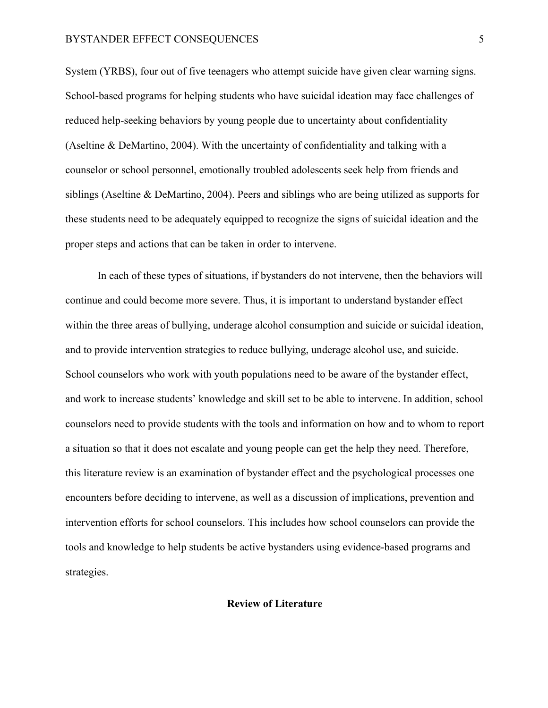System (YRBS), four out of five teenagers who attempt suicide have given clear warning signs. School-based programs for helping students who have suicidal ideation may face challenges of reduced help-seeking behaviors by young people due to uncertainty about confidentiality (Aseltine & DeMartino, 2004). With the uncertainty of confidentiality and talking with a counselor or school personnel, emotionally troubled adolescents seek help from friends and siblings (Aseltine & DeMartino, 2004). Peers and siblings who are being utilized as supports for these students need to be adequately equipped to recognize the signs of suicidal ideation and the proper steps and actions that can be taken in order to intervene.

In each of these types of situations, if bystanders do not intervene, then the behaviors will continue and could become more severe. Thus, it is important to understand bystander effect within the three areas of bullying, underage alcohol consumption and suicide or suicidal ideation, and to provide intervention strategies to reduce bullying, underage alcohol use, and suicide. School counselors who work with youth populations need to be aware of the bystander effect, and work to increase students' knowledge and skill set to be able to intervene. In addition, school counselors need to provide students with the tools and information on how and to whom to report a situation so that it does not escalate and young people can get the help they need. Therefore, this literature review is an examination of bystander effect and the psychological processes one encounters before deciding to intervene, as well as a discussion of implications, prevention and intervention efforts for school counselors. This includes how school counselors can provide the tools and knowledge to help students be active bystanders using evidence-based programs and strategies.

#### **Review of Literature**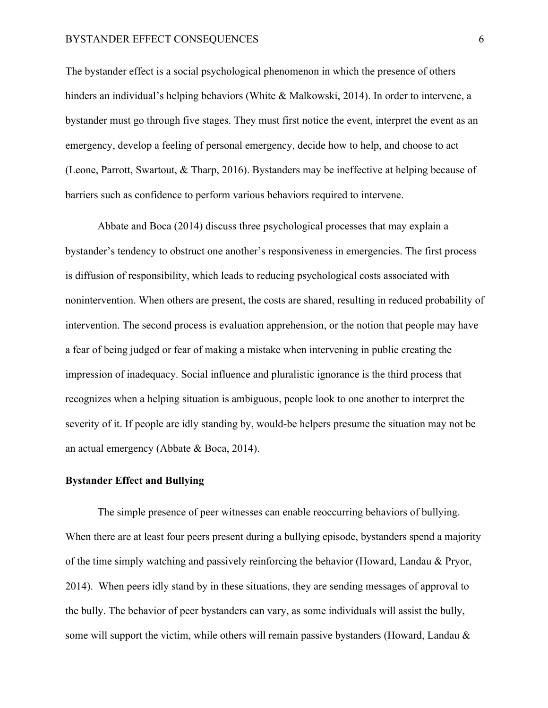The bystander effect is a social psychological phenomenon in which the presence of others hinders an individual's helping behaviors (White & Malkowski, 2014). In order to intervene, a bystander must go through five stages. They must first notice the event, interpret the event as an emergency, develop a feeling of personal emergency, decide how to help, and choose to act (Leone, Parrott, Swartout, & Tharp, 2016). Bystanders may be ineffective at helping because of barriers such as confidence to perform various behaviors required to intervene.

Abbate and Boca (2014) discuss three psychological processes that may explain a bystander's tendency to obstruct one another's responsiveness in emergencies. The first process is diffusion of responsibility, which leads to reducing psychological costs associated with nonintervention. When others are present, the costs are shared, resulting in reduced probability of intervention. The second process is evaluation apprehension, or the notion that people may have a fear of being judged or fear of making a mistake when intervening in public creating the impression of inadequacy. Social influence and pluralistic ignorance is the third process that recognizes when a helping situation is ambiguous, people look to one another to interpret the severity of it. If people are idly standing by, would-be helpers presume the situation may not be an actual emergency (Abbate & Boca, 2014).

#### **Bystander Effect and Bullying**

The simple presence of peer witnesses can enable reoccurring behaviors of bullying. When there are at least four peers present during a bullying episode, bystanders spend a majority of the time simply watching and passively reinforcing the behavior (Howard, Landau & Pryor, 2014). When peers idly stand by in these situations, they are sending messages of approval to the bully. The behavior of peer bystanders can vary, as some individuals will assist the bully, some will support the victim, while others will remain passive bystanders (Howard, Landau  $\&$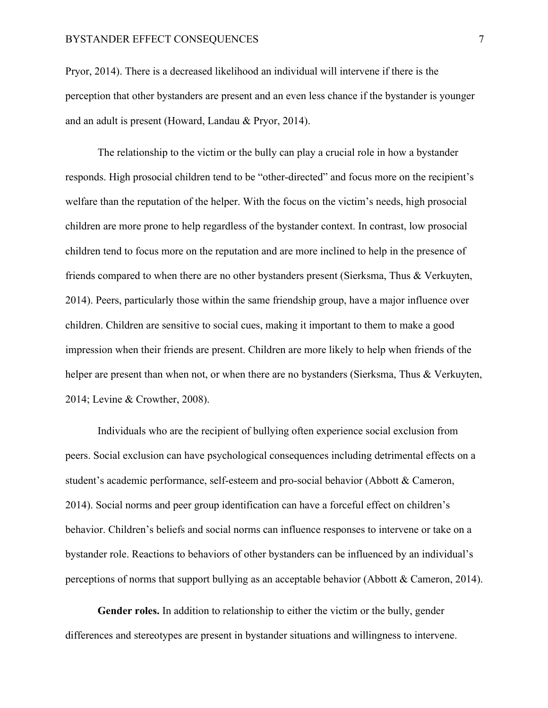Pryor, 2014). There is a decreased likelihood an individual will intervene if there is the perception that other bystanders are present and an even less chance if the bystander is younger and an adult is present (Howard, Landau & Pryor, 2014).

The relationship to the victim or the bully can play a crucial role in how a bystander responds. High prosocial children tend to be "other-directed" and focus more on the recipient's welfare than the reputation of the helper. With the focus on the victim's needs, high prosocial children are more prone to help regardless of the bystander context. In contrast, low prosocial children tend to focus more on the reputation and are more inclined to help in the presence of friends compared to when there are no other bystanders present (Sierksma, Thus & Verkuyten, 2014). Peers, particularly those within the same friendship group, have a major influence over children. Children are sensitive to social cues, making it important to them to make a good impression when their friends are present. Children are more likely to help when friends of the helper are present than when not, or when there are no bystanders (Sierksma, Thus & Verkuyten, 2014; Levine & Crowther, 2008).

Individuals who are the recipient of bullying often experience social exclusion from peers. Social exclusion can have psychological consequences including detrimental effects on a student's academic performance, self-esteem and pro-social behavior (Abbott & Cameron, 2014). Social norms and peer group identification can have a forceful effect on children's behavior. Children's beliefs and social norms can influence responses to intervene or take on a bystander role. Reactions to behaviors of other bystanders can be influenced by an individual's perceptions of norms that support bullying as an acceptable behavior (Abbott & Cameron, 2014).

**Gender roles.** In addition to relationship to either the victim or the bully, gender differences and stereotypes are present in bystander situations and willingness to intervene.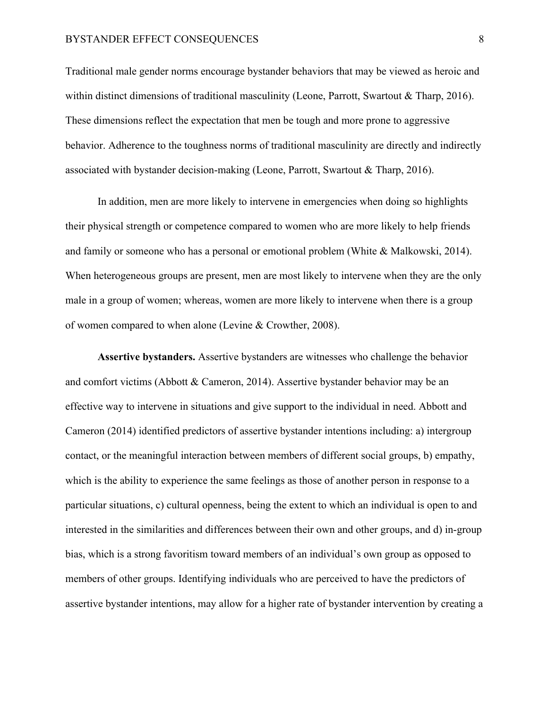Traditional male gender norms encourage bystander behaviors that may be viewed as heroic and within distinct dimensions of traditional masculinity (Leone, Parrott, Swartout & Tharp, 2016). These dimensions reflect the expectation that men be tough and more prone to aggressive behavior. Adherence to the toughness norms of traditional masculinity are directly and indirectly associated with bystander decision-making (Leone, Parrott, Swartout  $\&$  Tharp, 2016).

In addition, men are more likely to intervene in emergencies when doing so highlights their physical strength or competence compared to women who are more likely to help friends and family or someone who has a personal or emotional problem (White & Malkowski, 2014). When heterogeneous groups are present, men are most likely to intervene when they are the only male in a group of women; whereas, women are more likely to intervene when there is a group of women compared to when alone (Levine & Crowther, 2008).

**Assertive bystanders.** Assertive bystanders are witnesses who challenge the behavior and comfort victims (Abbott & Cameron, 2014). Assertive bystander behavior may be an effective way to intervene in situations and give support to the individual in need. Abbott and Cameron (2014) identified predictors of assertive bystander intentions including: a) intergroup contact, or the meaningful interaction between members of different social groups, b) empathy, which is the ability to experience the same feelings as those of another person in response to a particular situations, c) cultural openness, being the extent to which an individual is open to and interested in the similarities and differences between their own and other groups, and d) in-group bias, which is a strong favoritism toward members of an individual's own group as opposed to members of other groups. Identifying individuals who are perceived to have the predictors of assertive bystander intentions, may allow for a higher rate of bystander intervention by creating a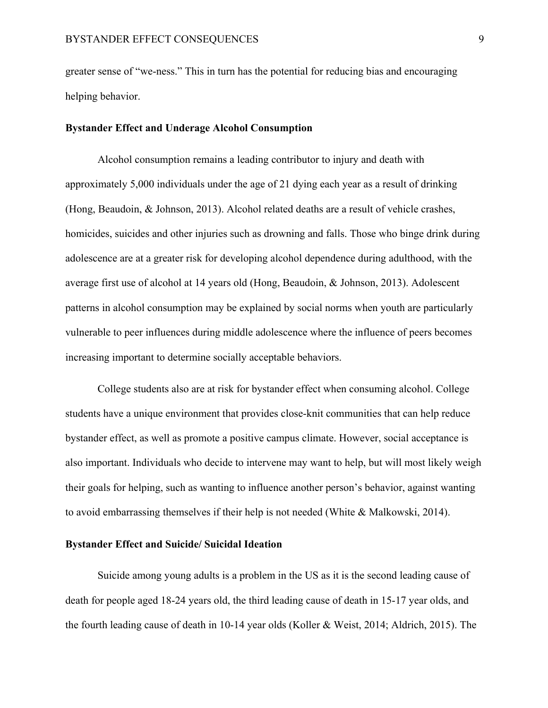greater sense of "we-ness." This in turn has the potential for reducing bias and encouraging helping behavior.

# **Bystander Effect and Underage Alcohol Consumption**

Alcohol consumption remains a leading contributor to injury and death with approximately 5,000 individuals under the age of 21 dying each year as a result of drinking (Hong, Beaudoin, & Johnson, 2013). Alcohol related deaths are a result of vehicle crashes, homicides, suicides and other injuries such as drowning and falls. Those who binge drink during adolescence are at a greater risk for developing alcohol dependence during adulthood, with the average first use of alcohol at 14 years old (Hong, Beaudoin, & Johnson, 2013). Adolescent patterns in alcohol consumption may be explained by social norms when youth are particularly vulnerable to peer influences during middle adolescence where the influence of peers becomes increasing important to determine socially acceptable behaviors.

College students also are at risk for bystander effect when consuming alcohol. College students have a unique environment that provides close-knit communities that can help reduce bystander effect, as well as promote a positive campus climate. However, social acceptance is also important. Individuals who decide to intervene may want to help, but will most likely weigh their goals for helping, such as wanting to influence another person's behavior, against wanting to avoid embarrassing themselves if their help is not needed (White & Malkowski, 2014).

### **Bystander Effect and Suicide/ Suicidal Ideation**

Suicide among young adults is a problem in the US as it is the second leading cause of death for people aged 18-24 years old, the third leading cause of death in 15-17 year olds, and the fourth leading cause of death in 10-14 year olds (Koller & Weist, 2014; Aldrich, 2015). The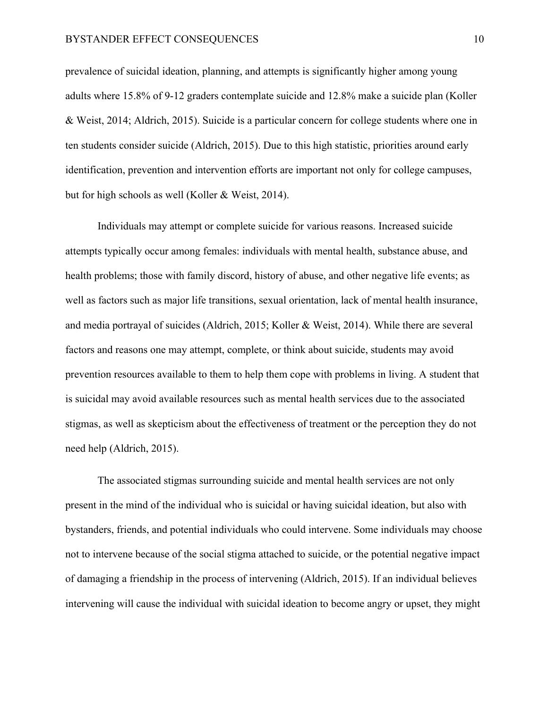prevalence of suicidal ideation, planning, and attempts is significantly higher among young adults where 15.8% of 9-12 graders contemplate suicide and 12.8% make a suicide plan (Koller & Weist, 2014; Aldrich, 2015). Suicide is a particular concern for college students where one in ten students consider suicide (Aldrich, 2015). Due to this high statistic, priorities around early identification, prevention and intervention efforts are important not only for college campuses, but for high schools as well (Koller & Weist, 2014).

Individuals may attempt or complete suicide for various reasons. Increased suicide attempts typically occur among females: individuals with mental health, substance abuse, and health problems; those with family discord, history of abuse, and other negative life events; as well as factors such as major life transitions, sexual orientation, lack of mental health insurance, and media portrayal of suicides (Aldrich, 2015; Koller & Weist, 2014). While there are several factors and reasons one may attempt, complete, or think about suicide, students may avoid prevention resources available to them to help them cope with problems in living. A student that is suicidal may avoid available resources such as mental health services due to the associated stigmas, as well as skepticism about the effectiveness of treatment or the perception they do not need help (Aldrich, 2015).

The associated stigmas surrounding suicide and mental health services are not only present in the mind of the individual who is suicidal or having suicidal ideation, but also with bystanders, friends, and potential individuals who could intervene. Some individuals may choose not to intervene because of the social stigma attached to suicide, or the potential negative impact of damaging a friendship in the process of intervening (Aldrich, 2015). If an individual believes intervening will cause the individual with suicidal ideation to become angry or upset, they might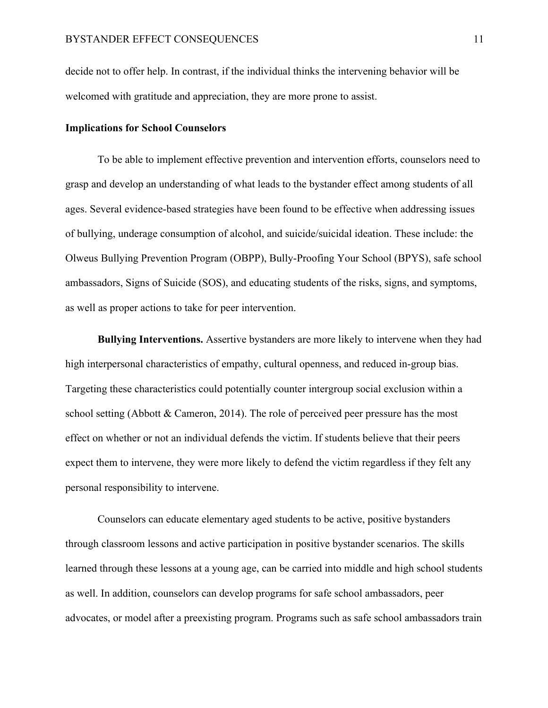decide not to offer help. In contrast, if the individual thinks the intervening behavior will be welcomed with gratitude and appreciation, they are more prone to assist.

# **Implications for School Counselors**

To be able to implement effective prevention and intervention efforts, counselors need to grasp and develop an understanding of what leads to the bystander effect among students of all ages. Several evidence-based strategies have been found to be effective when addressing issues of bullying, underage consumption of alcohol, and suicide/suicidal ideation. These include: the Olweus Bullying Prevention Program (OBPP), Bully-Proofing Your School (BPYS), safe school ambassadors, Signs of Suicide (SOS), and educating students of the risks, signs, and symptoms, as well as proper actions to take for peer intervention.

**Bullying Interventions.** Assertive bystanders are more likely to intervene when they had high interpersonal characteristics of empathy, cultural openness, and reduced in-group bias. Targeting these characteristics could potentially counter intergroup social exclusion within a school setting (Abbott  $&$  Cameron, 2014). The role of perceived peer pressure has the most effect on whether or not an individual defends the victim. If students believe that their peers expect them to intervene, they were more likely to defend the victim regardless if they felt any personal responsibility to intervene.

Counselors can educate elementary aged students to be active, positive bystanders through classroom lessons and active participation in positive bystander scenarios. The skills learned through these lessons at a young age, can be carried into middle and high school students as well. In addition, counselors can develop programs for safe school ambassadors, peer advocates, or model after a preexisting program. Programs such as safe school ambassadors train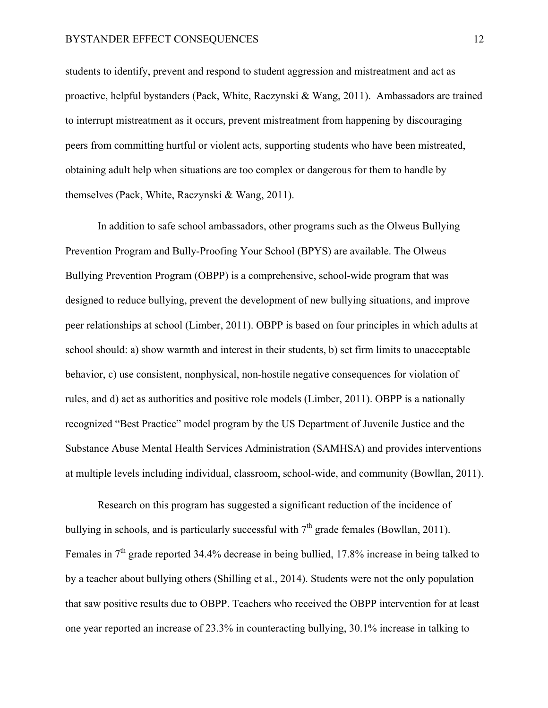students to identify, prevent and respond to student aggression and mistreatment and act as proactive, helpful bystanders (Pack, White, Raczynski & Wang, 2011). Ambassadors are trained to interrupt mistreatment as it occurs, prevent mistreatment from happening by discouraging peers from committing hurtful or violent acts, supporting students who have been mistreated, obtaining adult help when situations are too complex or dangerous for them to handle by themselves (Pack, White, Raczynski & Wang, 2011).

In addition to safe school ambassadors, other programs such as the Olweus Bullying Prevention Program and Bully-Proofing Your School (BPYS) are available. The Olweus Bullying Prevention Program (OBPP) is a comprehensive, school-wide program that was designed to reduce bullying, prevent the development of new bullying situations, and improve peer relationships at school (Limber, 2011). OBPP is based on four principles in which adults at school should: a) show warmth and interest in their students, b) set firm limits to unacceptable behavior, c) use consistent, nonphysical, non-hostile negative consequences for violation of rules, and d) act as authorities and positive role models (Limber, 2011). OBPP is a nationally recognized "Best Practice" model program by the US Department of Juvenile Justice and the Substance Abuse Mental Health Services Administration (SAMHSA) and provides interventions at multiple levels including individual, classroom, school-wide, and community (Bowllan, 2011).

Research on this program has suggested a significant reduction of the incidence of bullying in schools, and is particularly successful with  $7<sup>th</sup>$  grade females (Bowllan, 2011). Females in 7<sup>th</sup> grade reported 34.4% decrease in being bullied, 17.8% increase in being talked to by a teacher about bullying others (Shilling et al., 2014). Students were not the only population that saw positive results due to OBPP. Teachers who received the OBPP intervention for at least one year reported an increase of 23.3% in counteracting bullying, 30.1% increase in talking to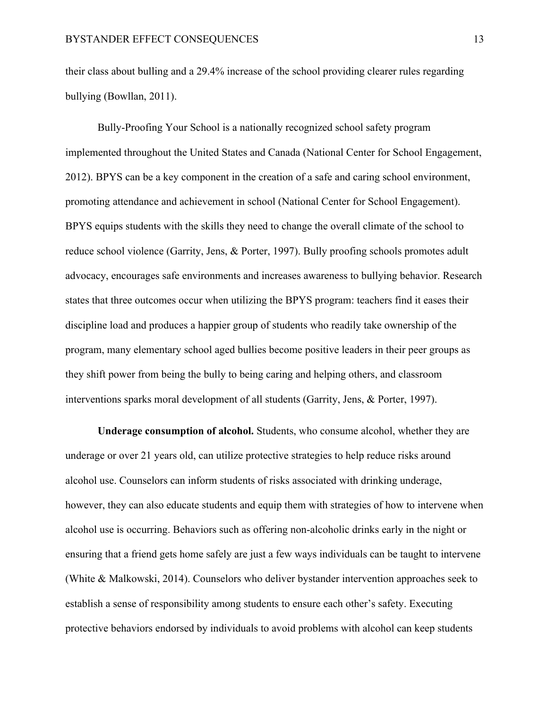their class about bulling and a 29.4% increase of the school providing clearer rules regarding bullying (Bowllan, 2011).

Bully-Proofing Your School is a nationally recognized school safety program implemented throughout the United States and Canada (National Center for School Engagement, 2012). BPYS can be a key component in the creation of a safe and caring school environment, promoting attendance and achievement in school (National Center for School Engagement). BPYS equips students with the skills they need to change the overall climate of the school to reduce school violence (Garrity, Jens, & Porter, 1997). Bully proofing schools promotes adult advocacy, encourages safe environments and increases awareness to bullying behavior. Research states that three outcomes occur when utilizing the BPYS program: teachers find it eases their discipline load and produces a happier group of students who readily take ownership of the program, many elementary school aged bullies become positive leaders in their peer groups as they shift power from being the bully to being caring and helping others, and classroom interventions sparks moral development of all students (Garrity, Jens, & Porter, 1997).

**Underage consumption of alcohol.** Students, who consume alcohol, whether they are underage or over 21 years old, can utilize protective strategies to help reduce risks around alcohol use. Counselors can inform students of risks associated with drinking underage, however, they can also educate students and equip them with strategies of how to intervene when alcohol use is occurring. Behaviors such as offering non-alcoholic drinks early in the night or ensuring that a friend gets home safely are just a few ways individuals can be taught to intervene (White & Malkowski, 2014). Counselors who deliver bystander intervention approaches seek to establish a sense of responsibility among students to ensure each other's safety. Executing protective behaviors endorsed by individuals to avoid problems with alcohol can keep students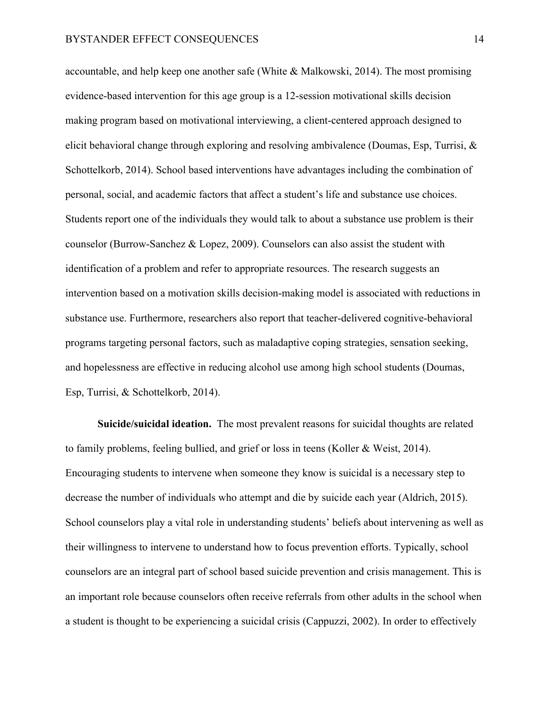accountable, and help keep one another safe (White & Malkowski, 2014). The most promising evidence-based intervention for this age group is a 12-session motivational skills decision making program based on motivational interviewing, a client-centered approach designed to elicit behavioral change through exploring and resolving ambivalence (Doumas, Esp, Turrisi, & Schottelkorb, 2014). School based interventions have advantages including the combination of personal, social, and academic factors that affect a student's life and substance use choices. Students report one of the individuals they would talk to about a substance use problem is their counselor (Burrow-Sanchez & Lopez, 2009). Counselors can also assist the student with identification of a problem and refer to appropriate resources. The research suggests an intervention based on a motivation skills decision-making model is associated with reductions in substance use. Furthermore, researchers also report that teacher-delivered cognitive-behavioral programs targeting personal factors, such as maladaptive coping strategies, sensation seeking, and hopelessness are effective in reducing alcohol use among high school students (Doumas, Esp, Turrisi, & Schottelkorb, 2014).

**Suicide/suicidal ideation.** The most prevalent reasons for suicidal thoughts are related to family problems, feeling bullied, and grief or loss in teens (Koller & Weist, 2014). Encouraging students to intervene when someone they know is suicidal is a necessary step to decrease the number of individuals who attempt and die by suicide each year (Aldrich, 2015). School counselors play a vital role in understanding students' beliefs about intervening as well as their willingness to intervene to understand how to focus prevention efforts. Typically, school counselors are an integral part of school based suicide prevention and crisis management. This is an important role because counselors often receive referrals from other adults in the school when a student is thought to be experiencing a suicidal crisis (Cappuzzi, 2002). In order to effectively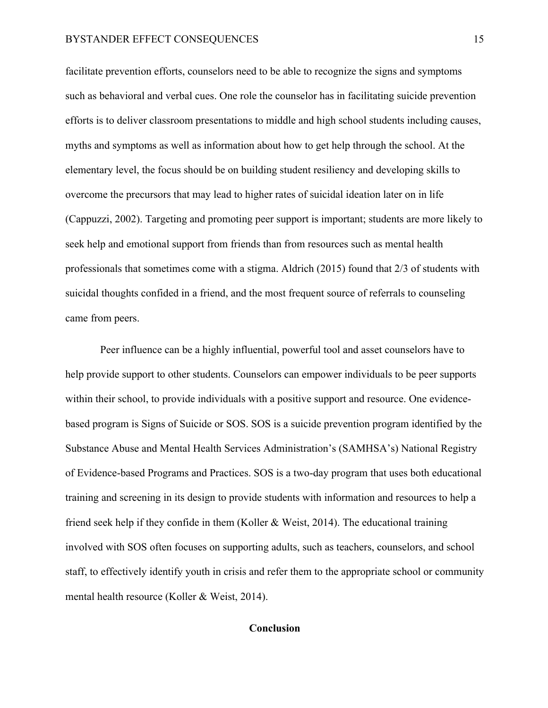facilitate prevention efforts, counselors need to be able to recognize the signs and symptoms such as behavioral and verbal cues. One role the counselor has in facilitating suicide prevention efforts is to deliver classroom presentations to middle and high school students including causes, myths and symptoms as well as information about how to get help through the school. At the elementary level, the focus should be on building student resiliency and developing skills to overcome the precursors that may lead to higher rates of suicidal ideation later on in life (Cappuzzi, 2002). Targeting and promoting peer support is important; students are more likely to seek help and emotional support from friends than from resources such as mental health professionals that sometimes come with a stigma. Aldrich (2015) found that 2/3 of students with suicidal thoughts confided in a friend, and the most frequent source of referrals to counseling came from peers.

Peer influence can be a highly influential, powerful tool and asset counselors have to help provide support to other students. Counselors can empower individuals to be peer supports within their school, to provide individuals with a positive support and resource. One evidencebased program is Signs of Suicide or SOS. SOS is a suicide prevention program identified by the Substance Abuse and Mental Health Services Administration's (SAMHSA's) National Registry of Evidence-based Programs and Practices. SOS is a two-day program that uses both educational training and screening in its design to provide students with information and resources to help a friend seek help if they confide in them (Koller & Weist, 2014). The educational training involved with SOS often focuses on supporting adults, such as teachers, counselors, and school staff, to effectively identify youth in crisis and refer them to the appropriate school or community mental health resource (Koller & Weist, 2014).

# **Conclusion**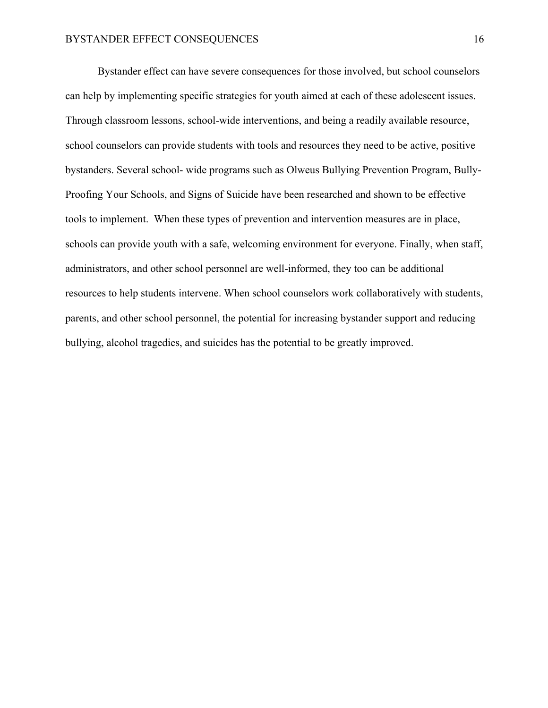Bystander effect can have severe consequences for those involved, but school counselors can help by implementing specific strategies for youth aimed at each of these adolescent issues. Through classroom lessons, school-wide interventions, and being a readily available resource, school counselors can provide students with tools and resources they need to be active, positive bystanders. Several school- wide programs such as Olweus Bullying Prevention Program, Bully-Proofing Your Schools, and Signs of Suicide have been researched and shown to be effective tools to implement. When these types of prevention and intervention measures are in place, schools can provide youth with a safe, welcoming environment for everyone. Finally, when staff, administrators, and other school personnel are well-informed, they too can be additional resources to help students intervene. When school counselors work collaboratively with students, parents, and other school personnel, the potential for increasing bystander support and reducing bullying, alcohol tragedies, and suicides has the potential to be greatly improved.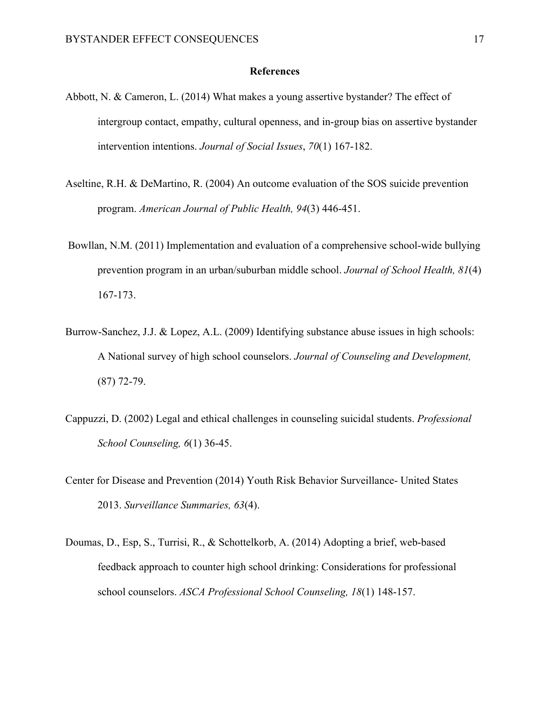#### **References**

- Abbott, N. & Cameron, L. (2014) What makes a young assertive bystander? The effect of intergroup contact, empathy, cultural openness, and in-group bias on assertive bystander intervention intentions. *Journal of Social Issues*, *70*(1) 167-182.
- Aseltine, R.H. & DeMartino, R. (2004) An outcome evaluation of the SOS suicide prevention program. *American Journal of Public Health, 94*(3) 446-451.
- Bowllan, N.M. (2011) Implementation and evaluation of a comprehensive school-wide bullying prevention program in an urban/suburban middle school. *Journal of School Health, 81*(4) 167-173.
- Burrow-Sanchez, J.J. & Lopez, A.L. (2009) Identifying substance abuse issues in high schools: A National survey of high school counselors. *Journal of Counseling and Development,*  (87) 72-79.
- Cappuzzi, D. (2002) Legal and ethical challenges in counseling suicidal students. *Professional School Counseling, 6*(1) 36-45.
- Center for Disease and Prevention (2014) Youth Risk Behavior Surveillance- United States 2013. *Surveillance Summaries, 63*(4).
- Doumas, D., Esp, S., Turrisi, R., & Schottelkorb, A. (2014) Adopting a brief, web-based feedback approach to counter high school drinking: Considerations for professional school counselors. *ASCA Professional School Counseling, 18*(1) 148-157.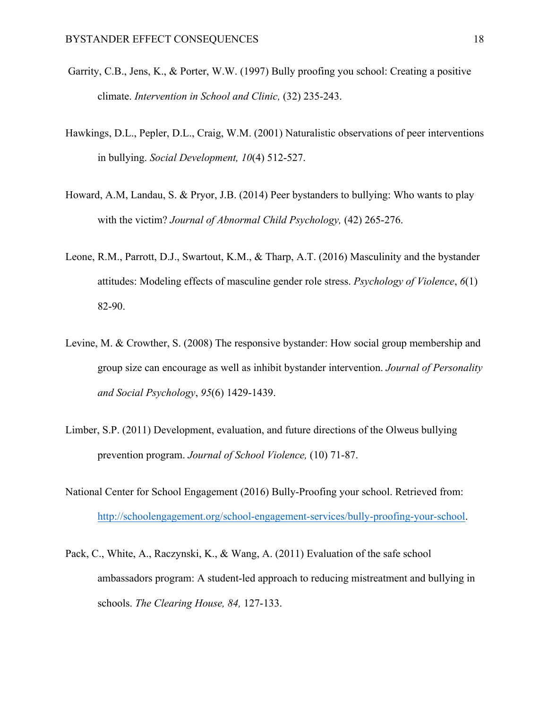- Garrity, C.B., Jens, K., & Porter, W.W. (1997) Bully proofing you school: Creating a positive climate. *Intervention in School and Clinic,* (32) 235-243.
- Hawkings, D.L., Pepler, D.L., Craig, W.M. (2001) Naturalistic observations of peer interventions in bullying. *Social Development, 10*(4) 512-527.
- Howard, A.M, Landau, S. & Pryor, J.B. (2014) Peer bystanders to bullying: Who wants to play with the victim? *Journal of Abnormal Child Psychology,* (42) 265-276.
- Leone, R.M., Parrott, D.J., Swartout, K.M., & Tharp, A.T. (2016) Masculinity and the bystander attitudes: Modeling effects of masculine gender role stress. *Psychology of Violence*, *6*(1) 82-90.
- Levine, M. & Crowther, S. (2008) The responsive bystander: How social group membership and group size can encourage as well as inhibit bystander intervention. *Journal of Personality and Social Psychology*, *95*(6) 1429-1439.
- Limber, S.P. (2011) Development, evaluation, and future directions of the Olweus bullying prevention program. *Journal of School Violence,* (10) 71-87.
- National Center for School Engagement (2016) Bully-Proofing your school. Retrieved from: http://schoolengagement.org/school-engagement-services/bully-proofing-your-school.
- Pack, C., White, A., Raczynski, K., & Wang, A. (2011) Evaluation of the safe school ambassadors program: A student-led approach to reducing mistreatment and bullying in schools. *The Clearing House, 84,* 127-133.